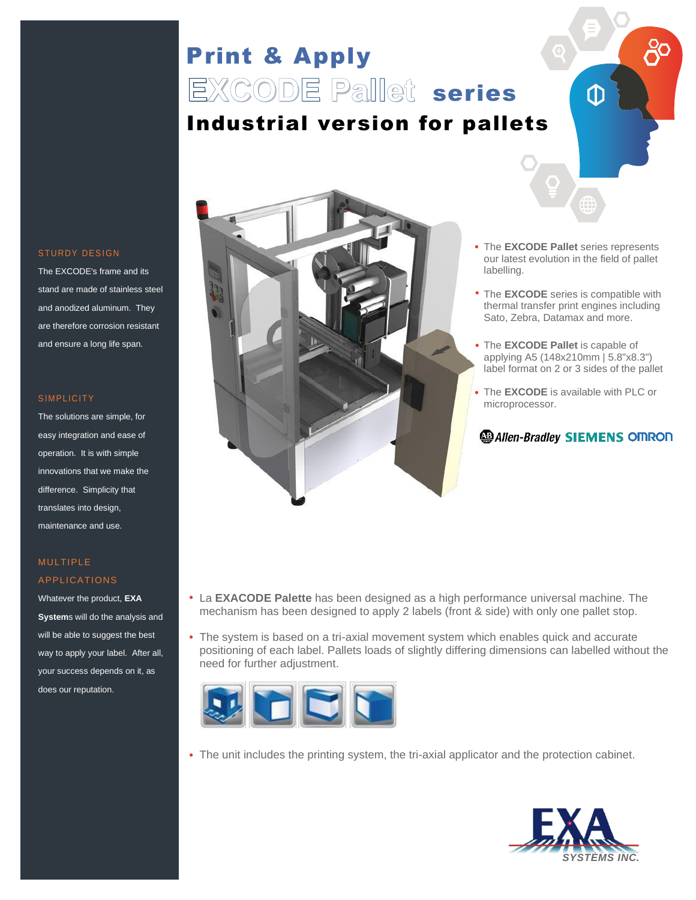# Print & Apply **EXCODE Pallet** series Industrial version for pallets



The EXCODE's frame and its stand are made of stainless steel and anodized aluminum. They are therefore corrosion resistant and ensure a long life span.

#### **SIMPLICITY**

The solutions are simple, for easy integration and ease of operation. It is with simple innovations that we make the difference. Simplicity that translates into design, maintenance and use.

### MULTIPLE APPLICATIONS

Whatever the product, **EXA System**s will do the analysis and will be able to suggest the best way to apply your label. After all, your success depends on it, as does our reputation.



The **EXCODE Pallet** series represents our latest evolution in the field of pallet labelling.

⋔

- The **EXCODE** series is compatible with thermal transfer print engines including Sato, Zebra, Datamax and more.
- The **EXCODE Pallet** is capable of applying A5 (148x210mm | 5.8"x8.3") label format on 2 or 3 sides of the pallet
- The **EXCODE** is available with PLC or microprocessor.

### **B** Allen-Bradley **SIEMENS** OMRON

- La **EXACODE Palette** has been designed as a high performance universal machine. The mechanism has been designed to apply 2 labels (front & side) with only one pallet stop.
- The system is based on a tri-axial movement system which enables quick and accurate positioning of each label. Pallets loads of slightly differing dimensions can labelled without the need for further adjustment.



The unit includes the printing system, the tri-axial applicator and the protection cabinet.